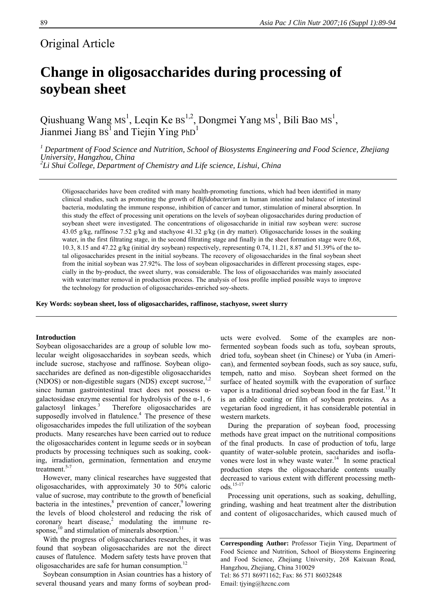# Original Article

# **Change in oligosaccharides during processing of soybean sheet**

Qiushuang Wang  $\text{Ms}^1$ , Leqin Ke  $\text{Bs}^{1,2}$ , Dongmei Yang  $\text{Ms}^1$ , Bili Bao  $\text{Ms}^1$ , Jianmei Jiang  $BS<sup>1</sup>$  and Tiejin Ying PhD<sup>1</sup>

*1 Department of Food Science and Nutrition, School of Biosystems Engineering and Food Science, Zhejiang University, Hangzhou, China 2*

*Li Shui College, Department of Chemistry and Life science, Lishui, China* 

Oligosaccharides have been credited with many health-promoting functions, which had been identified in many clinical studies, such as promoting the growth of *Bifidobacterium* in human intestine and balance of intestinal bacteria, modulating the immune response, inhibition of cancer and tumor, stimulation of mineral absorption. In this study the effect of processing unit operations on the levels of soybean oligosaccharides during production of soybean sheet were investigated. The concentrations of oligosaccharide in initial raw soybean were: sucrose 43.05 g/kg, raffinose 7.52 g/kg and stachyose 41.32 g/kg (in dry matter). Oligosaccharide losses in the soaking water, in the first filtrating stage, in the second filtrating stage and finally in the sheet formation stage were 0.68, 10.3, 8.15 and 47.22 g/kg (initial dry soybean) respectively, representing 0.74, 11.21, 8.87 and 51.39% of the total oligosaccharides present in the initial soybeans. The recovery of oligosaccharides in the final soybean sheet from the initial soybean was 27.92%. The loss of soybean oligosaccharides in different processing stages, especially in the by-product, the sweet slurry, was considerable. The loss of oligosaccharides was mainly associated with water/matter removal in production process. The analysis of loss profile implied possible ways to improve the technology for production of oligosaccharides-enriched soy-sheets.

**Key Words: soybean sheet, loss of oligosaccharides, raffinose, stachyose, sweet slurry** 

#### **Introduction**

Soybean oligosaccharides are a group of soluble low molecular weight oligosaccharides in soybean seeds, which include sucrose, stachyose and raffinose. Soybean oligosaccharides are defined as non-digestible oligosaccharides (NDOS) or non-digestible sugars (NDS) except sucrose, $1,2$ since human gastrointestinal tract does not possess αgalactosidase enzyme essential for hydrolysis of the  $\alpha$ -1, 6 galactosyl linkages. $3$  Therefore oligosaccharides are supposedly involved in flatulence.<sup>4</sup> The presence of these oligosaccharides impedes the full utilization of the soybean products. Many researches have been carried out to reduce the oligosaccharides content in legume seeds or in soybean products by processing techniques such as soaking, cooking, irradiation, germination, fermentation and enzyme treatment. $5-7$ 

However, many clinical researches have suggested that oligosaccharides, with approximately 30 to 50% caloric value of sucrose, may contribute to the growth of beneficial bacteria in the intestines, $\delta$  prevention of cancer, $\delta$  lowering the levels of blood cholesterol and reducing the risk of coronary heart disease, $2 \text{ modulating}$  the immune response, $^{10}$  and stimulation of minerals absorption.<sup>11</sup>

With the progress of oligosaccharides researches, it was found that soybean oligosaccharides are not the direct causes of flatulence. Modern safety tests have proven that oligosaccharides are safe for human consumption.<sup>12</sup>

Soybean consumption in Asian countries has a history of several thousand years and many forms of soybean prod-

ucts were evolved. Some of the examples are nonfermented soybean foods such as tofu, soybean sprouts, dried tofu, soybean sheet (in Chinese) or Yuba (in American), and fermented soybean foods, such as soy sauce, sufu, tempeh, natto and miso. Soybean sheet formed on the surface of heated soymilk with the evaporation of surface vapor is a traditional dried soybean food in the far East.<sup>13</sup> It is an edible coating or film of soybean proteins. As a vegetarian food ingredient, it has considerable potential in western markets.

During the preparation of soybean food, processing methods have great impact on the nutritional compositions of the final products. In case of production of tofu, large quantity of water-soluble protein, saccharides and isoflavones were lost in whey waste water. $14$  In some practical production steps the oligosaccharide contents usually decreased to various extent with different processing methods.15-17

Processing unit operations, such as soaking, dehulling, grinding, washing and heat treatment alter the distribution and content of oligosaccharides, which caused much of

**Corresponding Author:** Professor Tiejin Ying, Department of Food Science and Nutrition, School of Biosystems Engineering and Food Science, Zhejiang University, 268 Kaixuan Road, Hangzhou, Zhejiang, China 310029 Tel: 86 571 86971162; Fax: 86 571 86032848 Email: tjying@hzcnc.com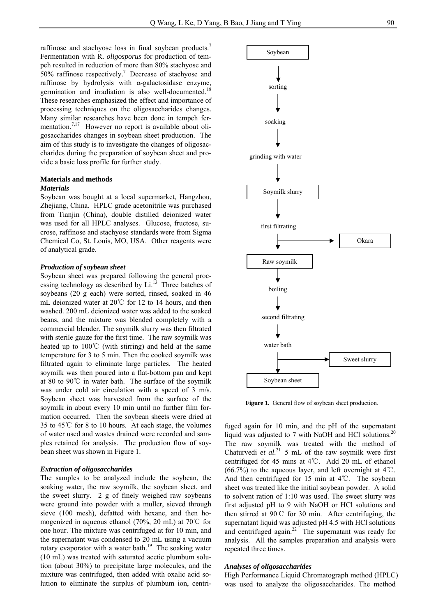raffinose and stachyose loss in final soybean products.<sup>7</sup> Fermentation with R. *oligosporus* for production of tempeh resulted in reduction of more than 80% stachyose and 50% raffinose respectively.7 Decrease of stachyose and raffinose by hydrolysis with α-galactosidase enzyme, germination and irradiation is also well-documented.<sup>18</sup> These researches emphasized the effect and importance of processing techniques on the oligosaccharides changes. Many similar researches have been done in tempeh fermentation.<sup>7,17</sup> However no report is available about oligosaccharides changes in soybean sheet production. The aim of this study is to investigate the changes of oligosaccharides during the preparation of soybean sheet and provide a basic loss profile for further study.

#### **Materials and methods**  *Materials*

Soybean was bought at a local supermarket, Hangzhou, Zhejiang, China. HPLC grade acetonitrile was purchased from Tianjin (China), double distilled deionized water was used for all HPLC analyses. Glucose, fructose, sucrose, raffinose and stachyose standards were from Sigma Chemical Co, St. Louis, MO, USA. Other reagents were of analytical grade.

#### *Production of soybean sheet*

Soybean sheet was prepared following the general processing technology as described by  $Li<sup>13</sup>$  Three batches of soybeans (20 g each) were sorted, rinsed, soaked in 46 mL deionized water at 20℃ for 12 to 14 hours, and then washed. 200 mL deionized water was added to the soaked beans, and the mixture was blended completely with a commercial blender. The soymilk slurry was then filtrated with sterile gauze for the first time. The raw soymilk was heated up to 100℃ (with stirring) and held at the same temperature for 3 to 5 min. Then the cooked soymilk was filtrated again to eliminate large particles. The heated soymilk was then poured into a flat-bottom pan and kept at 80 to 90℃ in water bath. The surface of the soymilk was under cold air circulation with a speed of 3 m/s. Soybean sheet was harvested from the surface of the soymilk in about every 10 min until no further film formation occurred. Then the soybean sheets were dried at 35 to 45℃ for 8 to 10 hours. At each stage, the volumes of water used and wastes drained were recorded and samples retained for analysis. The production flow of soybean sheet was shown in Figure 1.

#### *Extraction of oligosaccharides*

The samples to be analyzed include the soybean, the soaking water, the raw soymilk, the soybean sheet, and the sweet slurry. 2 g of finely weighed raw soybeans were ground into powder with a muller, sieved through sieve (100 mesh), defatted with hexane, and then homogenized in aqueous ethanol (70%, 20 mL) at 70℃ for one hour. The mixture was centrifuged at for 10 min, and the supernatant was condensed to 20 mL using a vacuum rotary evaporator with a water bath.<sup>19</sup> The soaking water (10 mL) was treated with saturated acetic plumbum solution (about 30%) to precipitate large molecules, and the mixture was centrifuged, then added with oxalic acid solution to eliminate the surplus of plumbum ion, centri-



Figure 1. General flow of soybean sheet production.

fuged again for 10 min, and the pH of the supernatant liquid was adjusted to 7 with NaOH and HCl solutions.<sup>20</sup> The raw soymilk was treated with the method of Chaturvedi *et al.*<sup>21</sup> 5 mL of the raw soymilk were first centrifuged for 45 mins at 4℃. Add 20 mL of ethanol  $(66.7\%)$  to the aqueous layer, and left overnight at 4°C. And then centrifuged for 15 min at 4℃. The soybean sheet was treated like the initial soybean powder. A solid to solvent ration of 1:10 was used. The sweet slurry was first adjusted pH to 9 with NaOH or HCl solutions and then stirred at 90℃ for 30 min. After centrifuging, the supernatant liquid was adjusted pH 4.5 with HCl solutions and centrifuged again.<sup>22</sup> The supernatant was ready for analysis. All the samples preparation and analysis were repeated three times.

#### *Analyses of oligosaccharides*

High Performance Liquid Chromatograph method (HPLC) was used to analyze the oligosaccharides. The method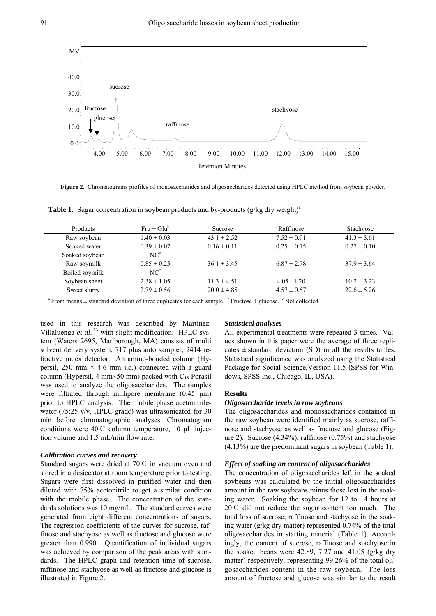**Figure 2.** Chromatograms profiles of monosaccharides and oligosaccharides detected using HPLC method from soybean powder.

Retention Minutes 4.00 5.00 6.00 7.00 8.00 9.00 10.00 11.00 12.00 13.00 14.00 15.00



Table 1. Sugar concentration in soybean products and by-products (g/kg dry weight)<sup>a</sup>

raffinose

 $a<sup>a</sup>$  From means  $\pm$  standard deviation of three duplicates for each sample.  $b<sup>b</sup>$  Fructose + glucose.  $c<sup>c</sup>$  Not collected.

used in this research was described by Martínez-Villaluenga et al.<sup>23</sup> with slight modification. HPLC system (Waters 2695, Marlborough, MA) consists of multi solvent delivery system, 717 plus auto sampler, 2414 refractive index detector. An amino-bonded column (Hypersil, 250 mm  $\times$  4.6 mm i.d.) connected with a guard column (Hypersil, 4 mm×50 mm) packed with  $C_{18}$  Porasil was used to analyze the oligosaccharides. The samples were filtrated through millipore membrane (0.45 μm) prior to HPLC analysis. The mobile phase acetonitrilewater (75:25 v/v, HPLC grade) was ultrasonicated for 30 min before chromatographic analyses. Chromatogram conditions were 40℃ column temperature, 10 μL injection volume and 1.5 mL/min flow rate.

## *Calibration curves and recovery*

Standard sugars were dried at 70℃ in vacuum oven and stored in a desiccator at room temperature prior to testing. Sugars were first dissolved in purified water and then diluted with 75% acetonitrile to get a similar condition with the mobile phase. The concentration of the standards solutions was 10 mg/mL. The standard curves were generated from eight different concentrations of sugars. The regression coefficients of the curves for sucrose, raffinose and stachyose as well as fructose and glucose were greater than 0.990. Quantification of individual sugars was achieved by comparison of the peak areas with standards. The HPLC graph and retention time of sucrose, raffinose and stachyose as well as fructose and glucose is illustrated in Figure 2.

#### *Statistical analyses*

All experimental treatments were repeated 3 times. Values shown in this paper were the average of three replicates  $\pm$  standard deviation (SD) in all the results tables. Statistical significance was analyzed using the Statistical Package for Social Science,Version 11.5 (SPSS for Windows, SPSS Inc., Chicago, IL, USA).

#### **Results**

#### *Oligosaccharide levels in raw soybeans*

stachyose

The oligosaccharides and monosaccharides contained in the raw soybean were identified mainly as sucrose, raffinose and stachyose as well as fructose and glucose (Figure 2). Sucrose (4.34%), raffinose (0.75%) and stachyose (4.13%) are the predominant sugars in soybean (Table 1).

#### *Effect of soaking on content of oligosaccharides*

The concentration of oligosaccharides left in the soaked soybeans was calculated by the initial oligosaccharides amount in the raw soybeans minus those lost in the soaking water. Soaking the soybean for 12 to 14 hours at 20℃ did not reduce the sugar content too much. The total loss of sucrose, raffinose and stachyose in the soaking water (g/kg dry matter) represented 0.74% of the total oligosaccharides in starting material (Table 1). Accordingly, the content of sucrose, raffinose and stachyose in the soaked beans were 42.89, 7.27 and 41.05 (g/kg dry matter) respectively, representing 99.26% of the total oligosaccharides content in the raw soybean. The loss amount of fructose and glucose was similar to the result

MV

0.0

10.0

20.0

fructose glucose

sucrose

30.0

40.0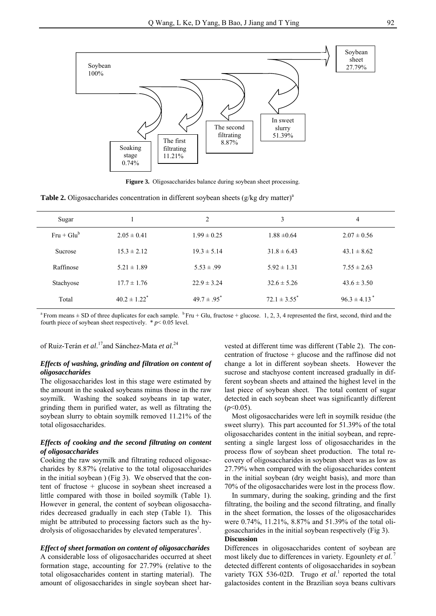

**Figure 3.** Oligosaccharides balance during soybean sheet processing.

**Table 2.** Oligosaccharides concentration in different soybean sheets (g/kg dry matter)<sup>a</sup>

| Sugar          |                              | $\overline{c}$   | 3                 | 4                            |
|----------------|------------------------------|------------------|-------------------|------------------------------|
| $Fru + Glu^b$  | $2.05 \pm 0.41$              | $1.99 \pm 0.25$  | $1.88 \pm 0.64$   | $2.07 \pm 0.56$              |
| <b>Sucrose</b> | $15.3 \pm 2.12$              | $19.3 \pm 5.14$  | $31.8 \pm 6.43$   | $43.1 \pm 8.62$              |
| Raffinose      | $5.21 \pm 1.89$              | $5.53 \pm .99$   | $5.92 \pm 1.31$   | $7.55 \pm 2.63$              |
| Stachyose      | $17.7 \pm 1.76$              | $22.9 \pm 3.24$  | $32.6 \pm 5.26$   | $43.6 \pm 3.50$              |
| Total          | $40.2 \pm 1.22$ <sup>*</sup> | $49.7 \pm .95^*$ | $72.1 \pm 3.55^*$ | $96.3 \pm 4.13$ <sup>*</sup> |

<sup>a</sup> From means  $\pm$  SD of three duplicates for each sample. <sup>b</sup> Fru + Glu, fructose + glucose. 1, 2, 3, 4 represented the first, second, third and the fourth piece of soybean sheet respectively.  $* p < 0.05$  level.

of Ruiz-Terán *et al*. 17and Sánchez-Mata *et al*. 24

# *Effects of washing, grinding and filtration on content of oligosaccharides*

The oligosaccharides lost in this stage were estimated by the amount in the soaked soybeans minus those in the raw soymilk. Washing the soaked soybeans in tap water, grinding them in purified water, as well as filtrating the soybean slurry to obtain soymilk removed 11.21% of the total oligosaccharides.

#### *Effects of cooking and the second filtrating on content of oligosaccharides*

Cooking the raw soymilk and filtrating reduced oligosaccharides by 8.87% (relative to the total oligosaccharides in the initial soybean ) (Fig 3). We observed that the content of fructose + glucose in soybean sheet increased a little compared with those in boiled soymilk (Table 1). However in general, the content of soybean oligosaccharides decreased gradually in each step (Table 1). This might be attributed to processing factors such as the hydrolysis of oligosaccharides by elevated temperatures<sup>1</sup>.

#### *Effect of sheet formation on content of oligosaccharides*

A considerable loss of oligosaccharides occurred at sheet formation stage, accounting for 27.79% (relative to the total oligosaccharides content in starting material). The amount of oligosaccharides in single soybean sheet harvested at different time was different (Table 2). The concentration of fructose + glucose and the raffinose did not change a lot in different soybean sheets. However the sucrose and stachyose content increased gradually in different soybean sheets and attained the highest level in the last piece of soybean sheet. The total content of sugar detected in each soybean sheet was significantly different  $(p<0.05)$ .

Most oligosaccharides were left in soymilk residue (the sweet slurry). This part accounted for 51.39% of the total oligosaccharides content in the initial soybean, and representing a single largest loss of oligosaccharides in the process flow of soybean sheet production. The total recovery of oligosaccharides in soybean sheet was as low as 27.79% when compared with the oligosaccharides content in the initial soybean (dry weight basis), and more than 70% of the oligosaccharides were lost in the process flow.

In summary, during the soaking, grinding and the first filtrating, the boiling and the second filtrating, and finally in the sheet formation, the losses of the oligosaccharides were 0.74%, 11.21%, 8.87% and 51.39% of the total oligosaccharides in the initial soybean respectively (Fig 3). **Discussion** 

## Differences in oligosaccharides content of soybean are most likely due to differences in variety. Egounlety *et al.*<sup>7</sup> detected different contents of oligosaccharides in soybean variety TGX 536-02D. Trugo et al.<sup>1</sup> reported the total galactosides content in the Brazilian soya beans cultivars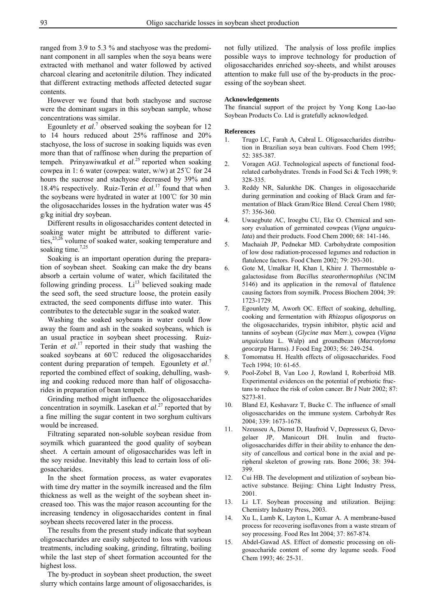ranged from 3.9 to 5.3 % and stachyose was the predominant component in all samples when the soya beans were extracted with methanol and water followed by actived charcoal clearing and acetonitrile dilution. They indicated that different extracting methods affected detected sugar contents.

However we found that both stachyose and sucrose were the dominant sugars in this soybean sample, whose concentrations was similar.

Egounlety *et al.*<sup>7</sup> observed soaking the soybean for 12 to 14 hours reduced about 25% raffinose and 20% stachyose, the loss of sucrose in soaking liquids was even more than that of raffinose when during the prepartion of tempeh. Prinyawiwatkul *et al*. 25 reported when soaking cowpea in 1: 6 water (cowpea: water, w/w) at 25℃ for 24 hours the sucrose and stachyose decreased by 39% and 18.4% respectively. Ruiz-Terán *et al*. 17 found that when the soybeans were hydrated in water at 100℃ for 30 min the oligosaccharides losses in the hydration water was 45 g/kg initial dry soybean.

Different results in oligosaccharides content detected in soaking water might be attributed to different varieties,<sup>23,26</sup> volume of soaked water, soaking temperature and soaking time.<sup>7,25</sup>

Soaking is an important operation during the preparation of soybean sheet. Soaking can make the dry beans absorb a certain volume of water, which facilitated the following grinding process.  $Li^{13}$  believed soaking made the seed soft, the seed structure loose, the protein easily extracted, the seed components diffuse into water. This contributes to the detectable sugar in the soaked water.

Washing the soaked soybeans in water could flow away the foam and ash in the soaked soybeans, which is an usual practice in soybean sheet processing. Ruiz-Terán *et al*. 17 reported in their study that washing the soaked soybeans at 60℃ reduced the oligosaccharides content during preparation of tempeh. Egounlety *et al*. 7 reported the combined effect of soaking, dehulling, washing and cooking reduced more than half of oligosaccharides in preparation of bean tempeh.

Grinding method might influence the oligosaccharides concentration in soymilk. Lasekan *et al*. 27 reported that by a fine milling the sugar content in two sorghum cultivars would be increased.

Filtrating separated non-soluble soybean residue from soymilk which guaranteed the good quality of soybean sheet. A certain amount of oligosaccharides was left in the soy residue. Inevitably this lead to certain loss of oligosaccharides.

In the sheet formation process, as water evaporates with time dry matter in the soymilk increased and the film thickness as well as the weight of the soybean sheet increased too. This was the major reason accounting for the increasing tendency in oligosaccharides content in final soybean sheets recovered later in the process.

The results from the present study indicate that soybean oligosaccharides are easily subjected to loss with various treatments, including soaking, grinding, filtrating, boiling while the last step of sheet formation accounted for the highest loss.

The by-product in soybean sheet production, the sweet slurry which contains large amount of oligosaccharides, is not fully utilized. The analysis of loss profile implies possible ways to improve technology for production of oligosaccharides enriched soy-sheets, and whilst arouses attention to make full use of the by-products in the processing of the soybean sheet.

#### **Acknowledgements**

The financial support of the project by Yong Kong Lao-lao Soybean Products Co. Ltd is gratefully acknowledged.

#### **References**

- 1. Trugo LC, Farah A, Cabral L. Oligosaccharides distribution in Brazilian soya bean cultivars. Food Chem 1995; 52: 385-387.
- 2. Voragen AGJ. Technological aspects of functional foodrelated carbohydrates. Trends in Food Sci & Tech 1998; 9: 328-335.
- 3. Reddy NR, Salunkhe DK. Changes in oligosaccharide during germination and cooking of Black Gram and fermentation of Black Gram/Rice Blend. Cereal Chem 1980; 57: 356-360.
- 4. Uwaegbute AC, Iroegbu CU, Eke O. Chemical and sensory evaluation of germinated cowpeas (*Vigna unguiculata*) and their products. Food Chem 2000; 68: 141-146.
- 5. Machaiah JP, Pednekar MD. Carbohydrate composition of low dose radiation-processed legumes and reduction in flatulence factors. Food Chem 2002; 79: 293-301.
- 6. Gote M, Umalkar H, Khan I, Khire J. Thermostable αgalactosidase from *Bacillus stearothermophilus* (NCIM 5146) and its application in the removal of flatulence causing factors from soymilk. Process Biochem 2004; 39: 1723-1729.
- 7. Egounlety M, Aworh OC. Effect of soaking, dehulling, cooking and fermentation with *Rhizopus oligosporus* on the oligosaccharides, trypsin inhibitor, phytic acid and tannins of soybean (*Glycine max* Merr.), cowpea (*Vigna unguiculata* L. Walp) and groundbean (*Macrotyloma geocarpa* Harms). J Food Eng 2003; 56: 249-254.
- 8. Tomomatsu H. Health effects of oligosaccharides. Food Tech 1994; 10: 61-65.
- 9. Pool-Zobel B, Van Loo J, Rowland I, Roberfroid MB. Experimental evidences on the potential of prebiotic fructans to reduce the risk of colon cancer. Br J Nutr 2002; 87: S273-81.
- 10. Bland EJ, Keshavarz T, Bucke C. The influence of small oligosaccharides on the immune system. Carbohydr Res 2004; 339: 1673-1678.
- 11. Nzeusseu A, Dienst D, Haufroid V, Depresseux G, Devogelaer JP, Manicourt DH. Inulin and fructooligosaccharides differ in their ability to enhance the density of cancellous and cortical bone in the axial and peripheral skeleton of growing rats. Bone 2006; 38: 394- 399.
- 12. Cui HB. The development and utilization of soybean bioactive substance. Beijing: China Light Industry Press, 2001.
- 13. Li LT. Soybean processing and utilization. Beijing: Chemistry Industry Press, 2003.
- 14. Xu L, Lamb K, Layton L, Kumar A. A membrane-based process for recovering isoflavones from a waste stream of soy processing. Food Res Int 2004; 37: 867-874.
- 15. Abdel-Gawad AS. Effect of domestic processing on oligosaccharide content of some dry legume seeds. Food Chem 1993; 46: 25-31.